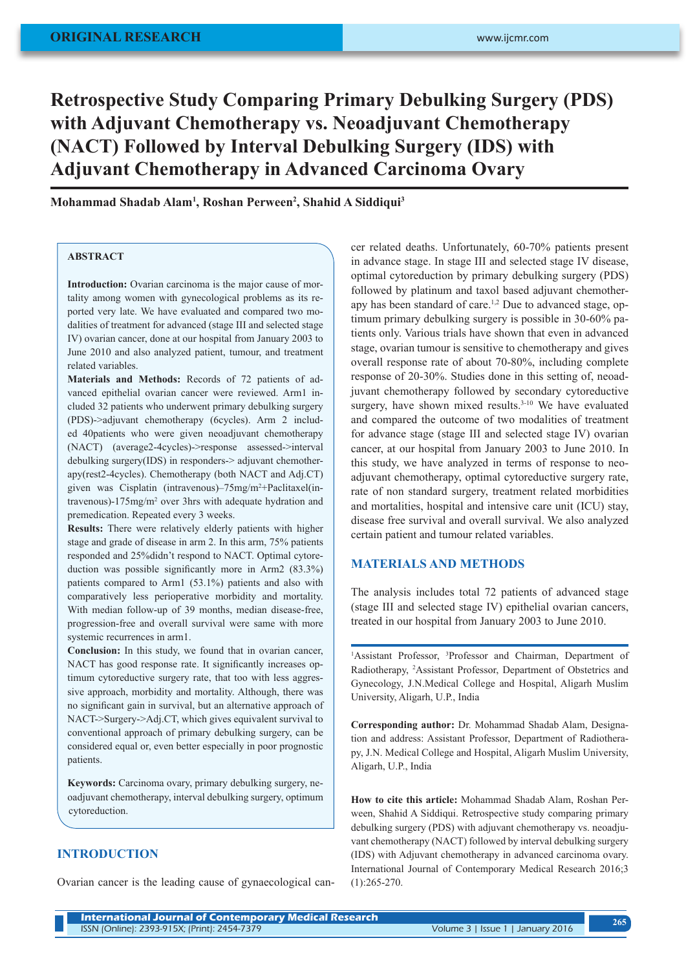# **Retrospective Study Comparing Primary Debulking Surgery (PDS) with Adjuvant Chemotherapy vs. Neoadjuvant Chemotherapy (NACT) Followed by Interval Debulking Surgery (IDS) with Adjuvant Chemotherapy in Advanced Carcinoma Ovary**

**Mohammad Shadab Alam1 , Roshan Perween2 , Shahid A Siddiqui3**

## **ABSTRACT**

**Introduction:** Ovarian carcinoma is the major cause of mortality among women with gynecological problems as its reported very late. We have evaluated and compared two modalities of treatment for advanced (stage III and selected stage IV) ovarian cancer, done at our hospital from January 2003 to June 2010 and also analyzed patient, tumour, and treatment related variables.

**Materials and Methods:** Records of 72 patients of advanced epithelial ovarian cancer were reviewed. Arm1 included 32 patients who underwent primary debulking surgery (PDS)->adjuvant chemotherapy (6cycles). Arm 2 included 40patients who were given neoadjuvant chemotherapy (NACT) (average2-4cycles)->response assessed->interval debulking surgery(IDS) in responders-> adjuvant chemotherapy(rest2-4cycles). Chemotherapy (both NACT and Adj.CT) given was Cisplatin (intravenous)–75mg/m<sup>2</sup>+Paclitaxel(intravenous)-175mg/m2 over 3hrs with adequate hydration and premedication. Repeated every 3 weeks.

**Results:** There were relatively elderly patients with higher stage and grade of disease in arm 2. In this arm, 75% patients responded and 25%didn't respond to NACT. Optimal cytoreduction was possible significantly more in Arm2 (83.3%) patients compared to Arm1 (53.1%) patients and also with comparatively less perioperative morbidity and mortality. With median follow-up of 39 months, median disease-free, progression-free and overall survival were same with more systemic recurrences in arm1.

**Conclusion:** In this study, we found that in ovarian cancer, NACT has good response rate. It significantly increases optimum cytoreductive surgery rate, that too with less aggressive approach, morbidity and mortality. Although, there was no significant gain in survival, but an alternative approach of NACT->Surgery->Adj.CT, which gives equivalent survival to conventional approach of primary debulking surgery, can be considered equal or, even better especially in poor prognostic patients.

**Keywords:** Carcinoma ovary, primary debulking surgery, neoadjuvant chemotherapy, interval debulking surgery, optimum cytoreduction.

## **INTRODUCTION**

Ovarian cancer is the leading cause of gynaecological can-

cer related deaths. Unfortunately, 60-70% patients present in advance stage. In stage III and selected stage IV disease, optimal cytoreduction by primary debulking surgery (PDS) followed by platinum and taxol based adjuvant chemotherapy has been standard of care.<sup>1,2</sup> Due to advanced stage, optimum primary debulking surgery is possible in 30-60% patients only. Various trials have shown that even in advanced stage, ovarian tumour is sensitive to chemotherapy and gives overall response rate of about 70-80%, including complete response of 20-30%. Studies done in this setting of, neoadjuvant chemotherapy followed by secondary cytoreductive surgery, have shown mixed results.<sup>3-10</sup> We have evaluated and compared the outcome of two modalities of treatment for advance stage (stage III and selected stage IV) ovarian cancer, at our hospital from January 2003 to June 2010. In this study, we have analyzed in terms of response to neoadjuvant chemotherapy, optimal cytoreductive surgery rate, rate of non standard surgery, treatment related morbidities and mortalities, hospital and intensive care unit (ICU) stay, disease free survival and overall survival. We also analyzed certain patient and tumour related variables.

## **MATERIALS AND METHODS**

The analysis includes total 72 patients of advanced stage (stage III and selected stage IV) epithelial ovarian cancers, treated in our hospital from January 2003 to June 2010.

<sup>1</sup>Assistant Professor, <sup>3</sup>Professor and Chairman, Department of Radiotherapy, 2 Assistant Professor, Department of Obstetrics and Gynecology, J.N.Medical College and Hospital, Aligarh Muslim University, Aligarh, U.P., India

**Corresponding author:** Dr. Mohammad Shadab Alam, Designation and address: Assistant Professor, Department of Radiotherapy, J.N. Medical College and Hospital, Aligarh Muslim University, Aligarh, U.P., India

**How to cite this article:** Mohammad Shadab Alam, Roshan Perween, Shahid A Siddiqui. Retrospective study comparing primary debulking surgery (PDS) with adjuvant chemotherapy vs. neoadjuvant chemotherapy (NACT) followed by interval debulking surgery (IDS) with Adjuvant chemotherapy in advanced carcinoma ovary. International Journal of Contemporary Medical Research 2016;3  $(1):265-270.$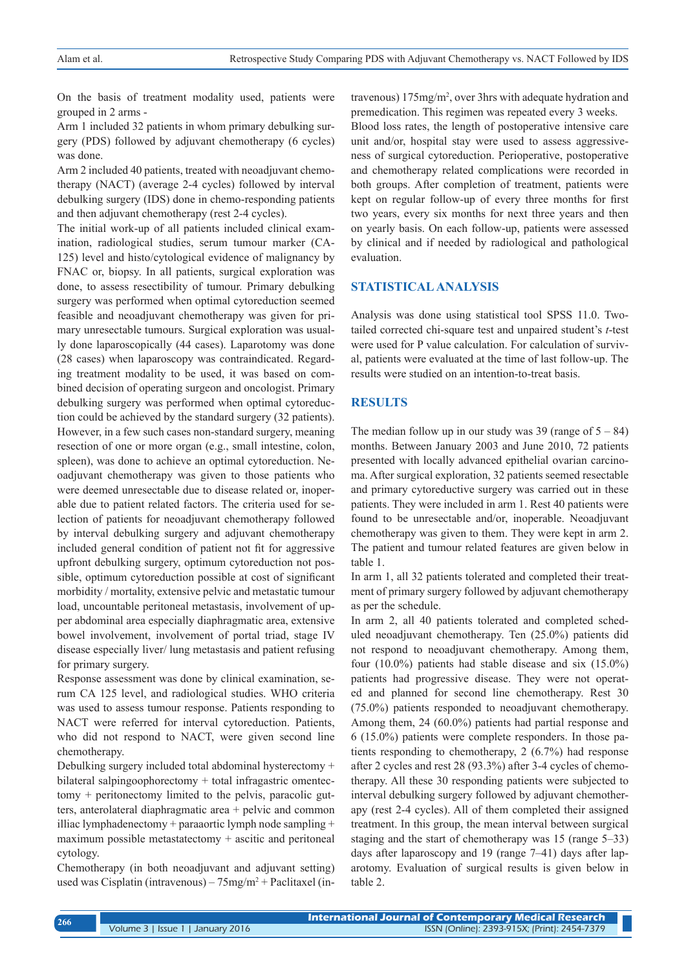On the basis of treatment modality used, patients were grouped in 2 arms -

Arm 1 included 32 patients in whom primary debulking surgery (PDS) followed by adjuvant chemotherapy (6 cycles) was done.

Arm 2 included 40 patients, treated with neoadjuvant chemotherapy (NACT) (average 2-4 cycles) followed by interval debulking surgery (IDS) done in chemo-responding patients and then adjuvant chemotherapy (rest 2-4 cycles).

The initial work-up of all patients included clinical examination, radiological studies, serum tumour marker (CA-125) level and histo/cytological evidence of malignancy by FNAC or, biopsy. In all patients, surgical exploration was done, to assess resectibility of tumour. Primary debulking surgery was performed when optimal cytoreduction seemed feasible and neoadjuvant chemotherapy was given for primary unresectable tumours. Surgical exploration was usually done laparoscopically (44 cases). Laparotomy was done (28 cases) when laparoscopy was contraindicated. Regarding treatment modality to be used, it was based on combined decision of operating surgeon and oncologist. Primary debulking surgery was performed when optimal cytoreduction could be achieved by the standard surgery (32 patients). However, in a few such cases non-standard surgery, meaning resection of one or more organ (e.g., small intestine, colon, spleen), was done to achieve an optimal cytoreduction. Neoadjuvant chemotherapy was given to those patients who were deemed unresectable due to disease related or, inoperable due to patient related factors. The criteria used for selection of patients for neoadjuvant chemotherapy followed by interval debulking surgery and adjuvant chemotherapy included general condition of patient not fit for aggressive upfront debulking surgery, optimum cytoreduction not possible, optimum cytoreduction possible at cost of significant morbidity / mortality, extensive pelvic and metastatic tumour load, uncountable peritoneal metastasis, involvement of upper abdominal area especially diaphragmatic area, extensive bowel involvement, involvement of portal triad, stage IV disease especially liver/ lung metastasis and patient refusing for primary surgery.

Response assessment was done by clinical examination, serum CA 125 level, and radiological studies. WHO criteria was used to assess tumour response. Patients responding to NACT were referred for interval cytoreduction. Patients, who did not respond to NACT, were given second line chemotherapy.

Debulking surgery included total abdominal hysterectomy + bilateral salpingoophorectomy + total infragastric omentectomy + peritonectomy limited to the pelvis, paracolic gutters, anterolateral diaphragmatic area + pelvic and common illiac lymphadenectomy + paraaortic lymph node sampling + maximum possible metastatectomy + ascitic and peritoneal cytology.

Chemotherapy (in both neoadjuvant and adjuvant setting) used was Cisplatin (intravenous) – 75mg/m<sup>2</sup> + Paclitaxel (intravenous) 175mg/m2 , over 3hrs with adequate hydration and premedication. This regimen was repeated every 3 weeks.

Blood loss rates, the length of postoperative intensive care unit and/or, hospital stay were used to assess aggressiveness of surgical cytoreduction. Perioperative, postoperative and chemotherapy related complications were recorded in both groups. After completion of treatment, patients were kept on regular follow-up of every three months for first two years, every six months for next three years and then on yearly basis. On each follow-up, patients were assessed by clinical and if needed by radiological and pathological evaluation.

## **STATISTICAL ANALYSIS**

Analysis was done using statistical tool SPSS 11.0. Twotailed corrected chi-square test and unpaired student's *t*-test were used for P value calculation. For calculation of survival, patients were evaluated at the time of last follow-up. The results were studied on an intention-to-treat basis.

#### **RESULTS**

The median follow up in our study was 39 (range of  $5 - 84$ ) months. Between January 2003 and June 2010, 72 patients presented with locally advanced epithelial ovarian carcinoma. After surgical exploration, 32 patients seemed resectable and primary cytoreductive surgery was carried out in these patients. They were included in arm 1. Rest 40 patients were found to be unresectable and/or, inoperable. Neoadjuvant chemotherapy was given to them. They were kept in arm 2. The patient and tumour related features are given below in table 1.

In arm 1, all 32 patients tolerated and completed their treatment of primary surgery followed by adjuvant chemotherapy as per the schedule.

In arm 2, all 40 patients tolerated and completed scheduled neoadjuvant chemotherapy. Ten (25.0%) patients did not respond to neoadjuvant chemotherapy. Among them, four (10.0%) patients had stable disease and six (15.0%) patients had progressive disease. They were not operated and planned for second line chemotherapy. Rest 30 (75.0%) patients responded to neoadjuvant chemotherapy. Among them, 24 (60.0%) patients had partial response and 6 (15.0%) patients were complete responders. In those patients responding to chemotherapy, 2 (6.7%) had response after 2 cycles and rest 28 (93.3%) after 3-4 cycles of chemotherapy. All these 30 responding patients were subjected to interval debulking surgery followed by adjuvant chemotherapy (rest 2-4 cycles). All of them completed their assigned treatment. In this group, the mean interval between surgical staging and the start of chemotherapy was 15 (range 5–33) days after laparoscopy and 19 (range 7–41) days after laparotomy. Evaluation of surgical results is given below in table 2.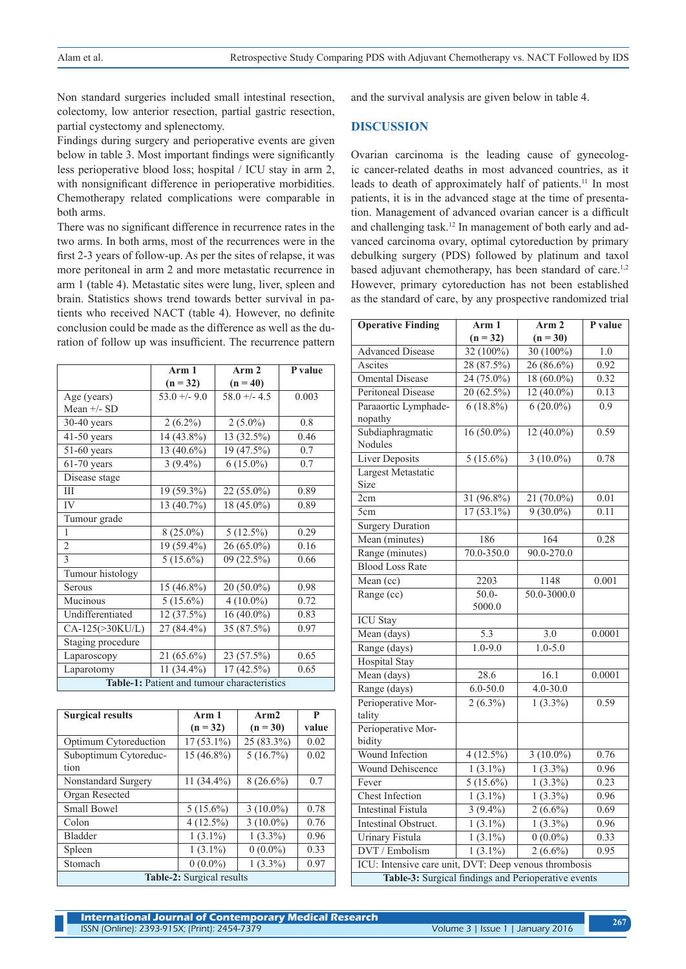Non standard surgeries included small intestinal resection, colectomy, low anterior resection, partial gastric resection, partial cystectomy and splenectomy.

Findings during surgery and perioperative events are given below in table 3. Most important findings were significantly less perioperative blood loss; hospital / ICU stay in arm 2, with nonsignificant difference in perioperative morbidities. Chemotherapy related complications were comparable in both arms.

There was no significant difference in recurrence rates in the two arms. In both arms, most of the recurrences were in the first 2-3 years of follow-up. As per the sites of relapse, it was more peritoneal in arm 2 and more metastatic recurrence in arm 1 (table 4). Metastatic sites were lung, liver, spleen and brain. Statistics shows trend towards better survival in patients who received NACT (table 4). However, no definite conclusion could be made as the difference as well as the duration of follow up was insufficient. The recurrence pattern

|                                             | Arm <sub>1</sub> | Arm <sub>2</sub> | P value |  |
|---------------------------------------------|------------------|------------------|---------|--|
|                                             | $(n = 32)$       | $(n = 40)$       |         |  |
| Age (years)                                 | $53.0 + -9.0$    | $58.0 + -4.5$    | 0.003   |  |
| Mean $+/-$ SD                               |                  |                  |         |  |
| $30-40$ years                               | $2(6.2\%)$       | $2(5.0\%)$       | 0.8     |  |
| $41-50$ years                               | 14 (43.8%)       | 13 (32.5%)       | 0.46    |  |
| $51-60$ years                               | 13 (40.6%)       | 19 (47.5%)       | 0.7     |  |
| $61-70$ years                               | $3(9.4\%)$       | $6(15.0\%)$      | 0.7     |  |
| Disease stage                               |                  |                  |         |  |
| Ш                                           | 19 (59.3%)       | 22 (55.0%)       | 0.89    |  |
| IV                                          | 13 (40.7%)       | 18 (45.0%)       | 0.89    |  |
| Tumour grade                                |                  |                  |         |  |
| 1                                           | $8(25.0\%)$      | $5(12.5\%)$      | 0.29    |  |
| 2                                           | 19 (59.4%)       | 26 (65.0%)       | 0.16    |  |
| $\mathbf{3}$                                | $5(15.6\%)$      | 09 (22.5%)       | 0.66    |  |
| Tumour histology                            |                  |                  |         |  |
| <b>Serous</b>                               | 15 (46.8%)       | 20 (50.0%)       | 0.98    |  |
| Mucinous                                    | $5(15.6\%)$      | $4(10.0\%)$      | 0.72    |  |
| Undifferentiated                            | 12 (37.5%)       | 16 (40.0%)       | 0.83    |  |
| CA-125(>30KU/L)                             | 27 (84.4%)       | 35 (87.5%)       | 0.97    |  |
| Staging procedure                           |                  |                  |         |  |
| Laparoscopy                                 | 21 (65.6%)       | 23 (57.5%)       | 0.65    |  |
| Laparotomy                                  | 11 (34.4%)       | $17(42.5\%)$     | 0.65    |  |
| Table-1: Patient and tumour characteristics |                  |                  |         |  |

| <b>Surgical results</b>   | Arm 1        | Arm <sub>2</sub> | P     |  |  |
|---------------------------|--------------|------------------|-------|--|--|
|                           | $(n = 32)$   | $(n = 30)$       | value |  |  |
| Optimum Cytoreduction     | $17(53.1\%)$ | 25 (83.3%)       | 0.02  |  |  |
| Suboptimum Cytoreduc-     | $15(46.8\%)$ | 5(16.7%)         | 0.02  |  |  |
| tion                      |              |                  |       |  |  |
| Nonstandard Surgery       | $11(34.4\%)$ | $8(26.6\%)$      | 0.7   |  |  |
| Organ Resected            |              |                  |       |  |  |
| Small Bowel               | $5(15.6\%)$  | $3(10.0\%)$      | 0.78  |  |  |
| Colon                     | $4(12.5\%)$  | $3(10.0\%)$      | 0.76  |  |  |
| <b>Bladder</b>            | $1(3.1\%)$   | $1(3.3\%)$       | 0.96  |  |  |
| Spleen                    | $1(3.1\%)$   | $0(0.0\%)$       | 0.33  |  |  |
| Stomach                   | $0(0.0\%)$   | $1(3.3\%)$       | 0.97  |  |  |
| Table-2: Surgical results |              |                  |       |  |  |

and the survival analysis are given below in table 4.

### **DISCUSSION**

Ovarian carcinoma is the leading cause of gynecologic cancer-related deaths in most advanced countries, as it leads to death of approximately half of patients.<sup>11</sup> In most patients, it is in the advanced stage at the time of presentation. Management of advanced ovarian cancer is a difficult and challenging task.<sup>12</sup> In management of both early and advanced carcinoma ovary, optimal cytoreduction by primary debulking surgery (PDS) followed by platinum and taxol based adjuvant chemotherapy, has been standard of care.<sup>1,2</sup> However, primary cytoreduction has not been established as the standard of care, by any prospective randomized trial

| <b>Operative Finding</b>                              | Arm 1               | Arm <sub>2</sub>        | P value          |  |
|-------------------------------------------------------|---------------------|-------------------------|------------------|--|
|                                                       | $(n = 32)$          | $(n = 30)$              |                  |  |
| <b>Advanced Disease</b>                               | 32 (100%)           | 30 (100%)               | $\overline{1.0}$ |  |
| Ascites                                               | 28(87.5%)           | $26(86.6\%)$            | 0.92             |  |
| <b>Omental Disease</b>                                | $24(75.0\%)$        | $18(60.0\%)$            | 0.32             |  |
| <b>Peritoneal Disease</b>                             | $20(62.5\%)$        | $\overline{12(40.0\%)}$ | 0.13             |  |
| Paraaortic Lymphade-<br>nopathy                       | $6(18.8\%)$         | $6(20.0\%)$             | $\overline{0.9}$ |  |
| Subdiaphragmatic<br>Nodules                           | $16(50.0\%)$        | $12(40.0\%)$            | 0.59             |  |
| <b>Liver Deposits</b>                                 | $5(15.6\%)$         | $3(10.0\%)$             | 0.78             |  |
| Largest Metastatic<br>Size                            |                     |                         |                  |  |
| 2cm                                                   | 31 (96.8%)          | $21(70.0\%)$            | 0.01             |  |
| 5cm                                                   | $17(53.1\%)$        | $9(30.0\%)$             | 0.11             |  |
| <b>Surgery Duration</b>                               |                     |                         |                  |  |
| Mean (minutes)                                        | 186                 | 164                     | 0.28             |  |
| Range (minutes)                                       | $70.0 - 350.0$      | 90.0-270.0              |                  |  |
| <b>Blood Loss Rate</b>                                |                     |                         |                  |  |
| Mean (cc)                                             | 2203                | 1148                    | 0.001            |  |
| Range (cc)                                            | $\frac{50.0}{50.0}$ | $50.0 - 3000.0$         |                  |  |
|                                                       | 5000.0              |                         |                  |  |
| <b>ICU</b> Stay                                       |                     |                         |                  |  |
| Mean (days)                                           | $\overline{5.3}$    | 3.0                     | 0.0001           |  |
| Range (days)                                          | $1.0 - 9.0$         | $1.0 - 5.0$             |                  |  |
| <b>Hospital Stay</b>                                  |                     |                         |                  |  |
| Mean $(days)$                                         | 28.6                | 16.1                    | 0.0001           |  |
| Range (days)                                          | $6.0 - 50.0$        | $4.0 - 30.0$            |                  |  |
| Perioperative Mor-<br>tality                          | $2(6.3\%)$          | $1(3.3\%)$              | 0.59             |  |
| Perioperative Mor-<br>bidity                          |                     |                         |                  |  |
| <b>Wound Infection</b>                                | $4(12.5\%)$         | $3(10.0\%)$             | 0.76             |  |
| <b>Wound Dehiscence</b>                               | $1(3.1\%)$          | $1(3.3\%)$              | 0.96             |  |
| Fever                                                 | $5(15.6\%)$         | $1(3.3\%)$              | 0.23             |  |
| <b>Chest Infection</b>                                | $1(3.1\%)$          | $1(3.3\%)$              | 0.96             |  |
| <b>Intestinal Fistula</b>                             | $3(9.4\%)$          | $2(6.6\%)$              | 0.69             |  |
| Intestinal Obstruct.                                  | $1(3.1\%)$          | $1(3.3\%)$              | 0.96             |  |
| <b>Urinary Fistula</b>                                | $1(3.1\%)$          | $0(0.0\%)$              | 0.33             |  |
| DVT / Embolism                                        | $1(3.1\%)$          | $2(6.6\%)$              | 0.95             |  |
| ICU: Intensive care unit, DVT: Deep venous thrombosis |                     |                         |                  |  |
| Table-3: Surgical findings and Perioperative events   |                     |                         |                  |  |

**International Journal of Contemporary Medical Research**  ISSN (Online): 2393-915X; (Print): 2454-7379 Volume 3 | Issue 1 | January 2016 **<sup>267</sup>**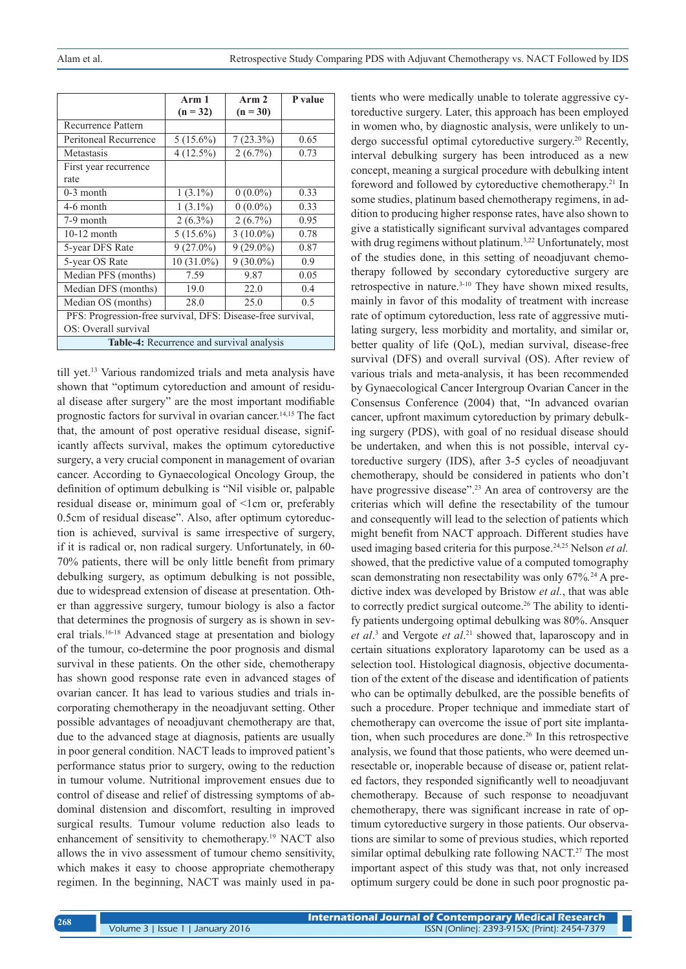|                                                             | Arm 1        | Arm 2       | P value |  |
|-------------------------------------------------------------|--------------|-------------|---------|--|
|                                                             | $(n = 32)$   | $(n = 30)$  |         |  |
| Recurrence Pattern                                          |              |             |         |  |
| Peritoneal Recurrence                                       | $5(15.6\%)$  | $7(23.3\%)$ | 0.65    |  |
| Metastasis                                                  | $4(12.5\%)$  | $2(6.7\%)$  | 0.73    |  |
| First year recurrence                                       |              |             |         |  |
| rate                                                        |              |             |         |  |
| $0-3$ month                                                 | $1(3.1\%)$   | $0(0.0\%)$  | 0.33    |  |
| 4-6 month                                                   | $1(3.1\%)$   | $0(0.0\%)$  | 0.33    |  |
| 7-9 month                                                   | $2(6.3\%)$   | $2(6.7\%)$  | 0.95    |  |
| $10-12$ month                                               | $5(15.6\%)$  | $3(10.0\%)$ | 0.78    |  |
| 5-year DFS Rate                                             | $9(27.0\%)$  | $9(29.0\%)$ | 0.87    |  |
| 5-year OS Rate                                              | $10(31.0\%)$ | $9(30.0\%)$ | 0.9     |  |
| Median PFS (months)                                         | 7.59         | 9.87        | 0.05    |  |
| Median DFS (months)                                         | 19.0         | 22.0        | 0.4     |  |
| Median OS (months)                                          | 28.0         | 25.0        | 0.5     |  |
| PFS: Progression-free survival, DFS: Disease-free survival, |              |             |         |  |
| OS: Overall survival                                        |              |             |         |  |
| Table-4: Recurrence and survival analysis                   |              |             |         |  |

till yet.<sup>13</sup> Various randomized trials and meta analysis have shown that "optimum cytoreduction and amount of residual disease after surgery" are the most important modifiable prognostic factors for survival in ovarian cancer.14,15 The fact that, the amount of post operative residual disease, significantly affects survival, makes the optimum cytoreductive surgery, a very crucial component in management of ovarian cancer. According to Gynaecological Oncology Group, the definition of optimum debulking is "Nil visible or, palpable residual disease or, minimum goal of <1cm or, preferably 0.5cm of residual disease". Also, after optimum cytoreduction is achieved, survival is same irrespective of surgery, if it is radical or, non radical surgery. Unfortunately, in 60- 70% patients, there will be only little benefit from primary debulking surgery, as optimum debulking is not possible, due to widespread extension of disease at presentation. Other than aggressive surgery, tumour biology is also a factor that determines the prognosis of surgery as is shown in several trials.16-18 Advanced stage at presentation and biology of the tumour, co-determine the poor prognosis and dismal survival in these patients. On the other side, chemotherapy has shown good response rate even in advanced stages of ovarian cancer. It has lead to various studies and trials incorporating chemotherapy in the neoadjuvant setting. Other possible advantages of neoadjuvant chemotherapy are that, due to the advanced stage at diagnosis, patients are usually in poor general condition. NACT leads to improved patient's performance status prior to surgery, owing to the reduction in tumour volume. Nutritional improvement ensues due to control of disease and relief of distressing symptoms of abdominal distension and discomfort, resulting in improved surgical results. Tumour volume reduction also leads to enhancement of sensitivity to chemotherapy.19 NACT also allows the in vivo assessment of tumour chemo sensitivity, which makes it easy to choose appropriate chemotherapy regimen. In the beginning, NACT was mainly used in patients who were medically unable to tolerate aggressive cytoreductive surgery. Later, this approach has been employed in women who, by diagnostic analysis, were unlikely to undergo successful optimal cytoreductive surgery.<sup>20</sup> Recently, interval debulking surgery has been introduced as a new concept, meaning a surgical procedure with debulking intent foreword and followed by cytoreductive chemotherapy.21 In some studies, platinum based chemotherapy regimens, in addition to producing higher response rates, have also shown to give a statistically significant survival advantages compared with drug regimens without platinum.<sup>3,22</sup> Unfortunately, most of the studies done, in this setting of neoadjuvant chemotherapy followed by secondary cytoreductive surgery are retrospective in nature.<sup>3-10</sup> They have shown mixed results, mainly in favor of this modality of treatment with increase rate of optimum cytoreduction, less rate of aggressive mutilating surgery, less morbidity and mortality, and similar or, better quality of life (QoL), median survival, disease-free survival (DFS) and overall survival (OS). After review of various trials and meta-analysis, it has been recommended by Gynaecological Cancer Intergroup Ovarian Cancer in the Consensus Conference (2004) that, "In advanced ovarian cancer, upfront maximum cytoreduction by primary debulking surgery (PDS), with goal of no residual disease should be undertaken, and when this is not possible, interval cytoreductive surgery (IDS), after 3-5 cycles of neoadjuvant chemotherapy, should be considered in patients who don't have progressive disease".23 An area of controversy are the criterias which will define the resectability of the tumour and consequently will lead to the selection of patients which might benefit from NACT approach. Different studies have used imaging based criteria for this purpose.<sup>24,25</sup> Nelson et al. showed, that the predictive value of a computed tomography scan demonstrating non resectability was only 67%*.* 24 A predictive index was developed by Bristow *et al.*, that was able to correctly predict surgical outcome.<sup>26</sup> The ability to identify patients undergoing optimal debulking was 80%. Ansquer *et al*. 3 and Vergote *et al*. 21 showed that, laparoscopy and in certain situations exploratory laparotomy can be used as a selection tool. Histological diagnosis, objective documentation of the extent of the disease and identification of patients who can be optimally debulked, are the possible benefits of such a procedure. Proper technique and immediate start of chemotherapy can overcome the issue of port site implantation, when such procedures are done.<sup>26</sup> In this retrospective analysis, we found that those patients, who were deemed unresectable or, inoperable because of disease or, patient related factors, they responded significantly well to neoadjuvant chemotherapy. Because of such response to neoadjuvant chemotherapy, there was significant increase in rate of optimum cytoreductive surgery in those patients. Our observations are similar to some of previous studies, which reported similar optimal debulking rate following NACT.<sup>27</sup> The most important aspect of this study was that, not only increased optimum surgery could be done in such poor prognostic pa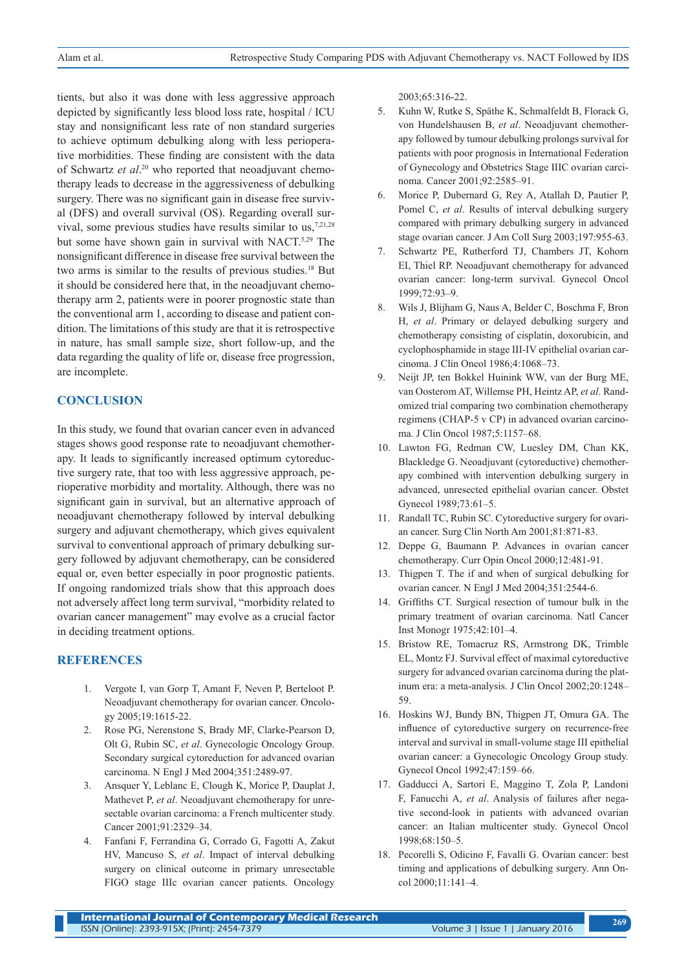tients, but also it was done with less aggressive approach depicted by significantly less blood loss rate, hospital / ICU stay and nonsignificant less rate of non standard surgeries to achieve optimum debulking along with less perioperative morbidities. These finding are consistent with the data of Schwartz *et al*. 20 who reported that neoadjuvant chemotherapy leads to decrease in the aggressiveness of debulking surgery. There was no significant gain in disease free survival (DFS) and overall survival (OS). Regarding overall survival, some previous studies have results similar to us,  $7,21,28$ but some have shown gain in survival with NACT.<sup>5,29</sup> The nonsignificant difference in disease free survival between the two arms is similar to the results of previous studies.<sup>18</sup> But it should be considered here that, in the neoadjuvant chemotherapy arm 2, patients were in poorer prognostic state than the conventional arm 1, according to disease and patient condition. The limitations of this study are that it is retrospective in nature, has small sample size, short follow-up, and the data regarding the quality of life or, disease free progression, are incomplete.

## **CONCLUSION**

In this study, we found that ovarian cancer even in advanced stages shows good response rate to neoadjuvant chemotherapy. It leads to significantly increased optimum cytoreductive surgery rate, that too with less aggressive approach, perioperative morbidity and mortality. Although, there was no significant gain in survival, but an alternative approach of neoadjuvant chemotherapy followed by interval debulking surgery and adjuvant chemotherapy, which gives equivalent survival to conventional approach of primary debulking surgery followed by adjuvant chemotherapy, can be considered equal or, even better especially in poor prognostic patients. If ongoing randomized trials show that this approach does not adversely affect long term survival, "morbidity related to ovarian cancer management" may evolve as a crucial factor in deciding treatment options.

## **REFERENCES**

- 1. Vergote I, van Gorp T, Amant F, Neven P, Berteloot P. Neoadjuvant chemotherapy for ovarian cancer. Oncology 2005;19:1615-22.
- 2. Rose PG, Nerenstone S, Brady MF, Clarke-Pearson D, Olt G, Rubin SC, *et al*. Gynecologic Oncology Group. Secondary surgical cytoreduction for advanced ovarian carcinoma. N Engl J Med 2004;351:2489-97.
- 3. Ansquer Y, Leblanc E, Clough K, Morice P, Dauplat J, Mathevet P, *et al*. Neoadjuvant chemotherapy for unresectable ovarian carcinoma: a French multicenter study. Cancer 2001;91:2329–34.
- 4. Fanfani F, Ferrandina G, Corrado G, Fagotti A, Zakut HV, Mancuso S, *et al*. Impact of interval debulking surgery on clinical outcome in primary unresectable FIGO stage IIIc ovarian cancer patients. Oncology

2003;65:316-22.

- 5. Kuhn W, Rutke S, Späthe K, Schmalfeldt B, Florack G, von Hundelshausen B, *et al*. Neoadjuvant chemotherapy followed by tumour debulking prolongs survival for patients with poor prognosis in International Federation of Gynecology and Obstetrics Stage IIIC ovarian carcinoma. Cancer 2001;92:2585–91.
- 6. Morice P, Dubernard G, Rey A, Atallah D, Pautier P, Pomel C, *et al*. Results of interval debulking surgery compared with primary debulking surgery in advanced stage ovarian cancer. J Am Coll Surg 2003;197:955-63.
- 7. Schwartz PE, Rutherford TJ, Chambers JT, Kohorn EI, Thiel RP. Neoadjuvant chemotherapy for advanced ovarian cancer: long-term survival. Gynecol Oncol 1999;72:93–9.
- 8. Wils J, Blijham G, Naus A, Belder C, Boschma F, Bron H, *et al*. Primary or delayed debulking surgery and chemotherapy consisting of cisplatin, doxorubicin, and cyclophosphamide in stage III-IV epithelial ovarian carcinoma. J Clin Oncol 1986;4:1068–73.
- 9. Neijt JP, ten Bokkel Huinink WW, van der Burg ME, van Oosterom AT, Willemse PH, Heintz AP, *et al*. Randomized trial comparing two combination chemotherapy regimens (CHAP-5 v CP) in advanced ovarian carcinoma. J Clin Oncol 1987;5:1157–68.
- 10. Lawton FG, Redman CW, Luesley DM, Chan KK, Blackledge G. Neoadjuvant (cytoreductive) chemotherapy combined with intervention debulking surgery in advanced, unresected epithelial ovarian cancer. Obstet Gynecol 1989;73:61–5.
- 11. Randall TC, Rubin SC. Cytoreductive surgery for ovarian cancer. Surg Clin North Am 2001;81:871-83.
- 12. Deppe G, Baumann P. Advances in ovarian cancer chemotherapy. Curr Opin Oncol 2000;12:481-91.
- 13. Thigpen T. The if and when of surgical debulking for ovarian cancer. N Engl J Med 2004;351:2544-6.
- 14. Griffiths CT. Surgical resection of tumour bulk in the primary treatment of ovarian carcinoma. Natl Cancer Inst Monogr 1975;42:101–4.
- 15. Bristow RE, Tomacruz RS, Armstrong DK, Trimble EL, Montz FJ. Survival effect of maximal cytoreductive surgery for advanced ovarian carcinoma during the platinum era: a meta-analysis. J Clin Oncol 2002;20:1248– 59.
- 16. Hoskins WJ, Bundy BN, Thigpen JT, Omura GA. The influence of cytoreductive surgery on recurrence-free interval and survival in small-volume stage III epithelial ovarian cancer: a Gynecologic Oncology Group study. Gynecol Oncol 1992;47:159–66.
- 17. Gadducci A, Sartori E, Maggino T, Zola P, Landoni F, Fanucchi A, *et al*. Analysis of failures after negative second-look in patients with advanced ovarian cancer: an Italian multicenter study. Gynecol Oncol 1998;68:150–5.
- 18. Pecorelli S, Odicino F, Favalli G. Ovarian cancer: best timing and applications of debulking surgery. Ann Oncol 2000;11:141–4.